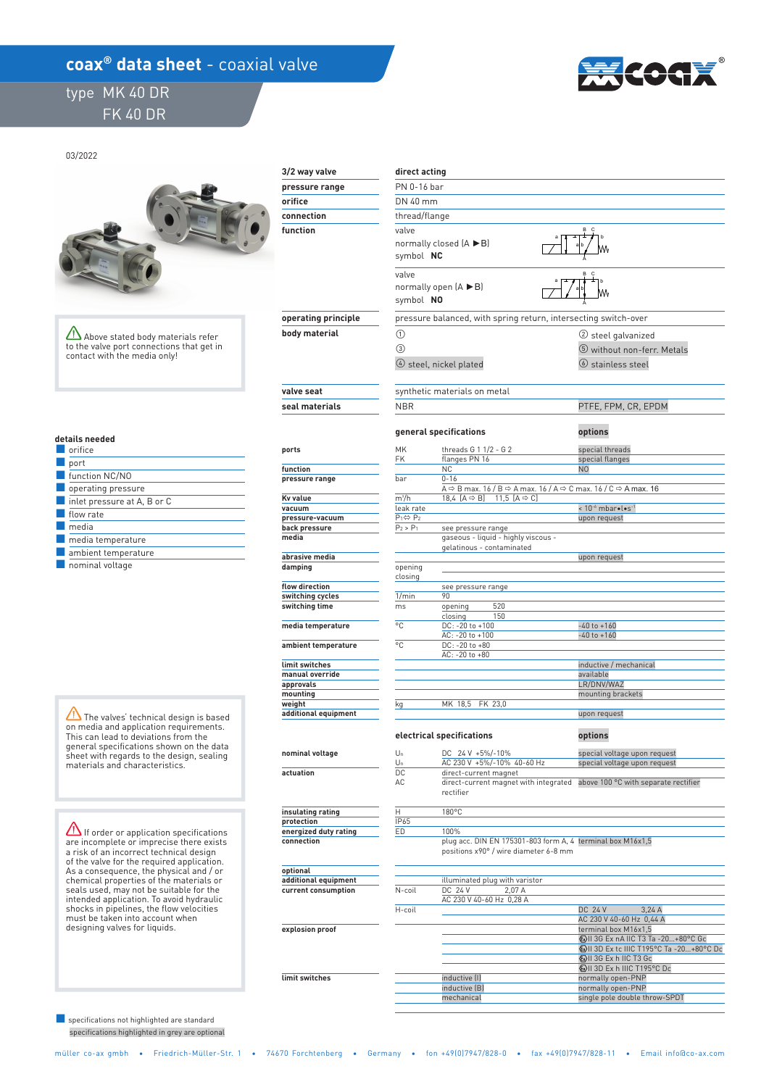## coax<sup>®</sup> data sheet - coaxial valve

## type MK 40 DR FK 40 DR



03/2022



Above stated body materials refer to the valve port connections that get in contact with the media only!

 **explosion proof** 

 **limit switches** 

#### **details needed**

| orifice                                    |
|--------------------------------------------|
| port                                       |
| function NC/NO                             |
| operating pressure                         |
| $\blacksquare$ inlet pressure at A, B or C |
| flow rate                                  |
| media                                      |
| $\blacksquare$ media temperature           |
| ambient temperature                        |
| .                                          |

■ nominal voltage

The valves' technical design is based on media and application requirements. This can lead to deviations from the general specifications shown on the data sheet with regards to the design, sealing materials and characteristics.

 $\Delta$  If order or application specifications are incomplete or imprecise there exists a risk of an incorrect technical design of the valve for the required application. As a consequence, the physical and / or chemical properties of the materials or seals used, may not be suitable for the intended application. To avoid hydraulic shocks in pipelines, the flow velocities must be taken into account when designing valves for liquids.

 specifications highlighted in grey are optional ■ specifications not highlighted are standard

| 3/2 way valve                       | direct acting             |                                                                                                             |                                                                                                                               |
|-------------------------------------|---------------------------|-------------------------------------------------------------------------------------------------------------|-------------------------------------------------------------------------------------------------------------------------------|
| pressure range                      | PN 0-16 bar               |                                                                                                             |                                                                                                                               |
| orifice                             | DN 40 mm                  |                                                                                                             |                                                                                                                               |
| connection                          | thread/flange             |                                                                                                             |                                                                                                                               |
| function                            | valve                     |                                                                                                             | B                                                                                                                             |
|                                     | symbol NC                 | normally closed (A ▶B)                                                                                      |                                                                                                                               |
|                                     | valve<br>symbol NO        | normally open $(A \triangleright B)$                                                                        | B<br>c                                                                                                                        |
| operating principle                 |                           | pressure balanced, with spring return, intersecting switch-over                                             |                                                                                                                               |
| body material                       | $\circled{1}$             |                                                                                                             | (2) steel galvanized                                                                                                          |
|                                     | $\circled{3}$             |                                                                                                             | 5 without non-ferr. Metals                                                                                                    |
|                                     |                           | 4 steel, nickel plated                                                                                      | $\circledcirc$ stainless steel                                                                                                |
| valve seat                          |                           | synthetic materials on metal                                                                                |                                                                                                                               |
| seal materials                      | <b>NBR</b>                |                                                                                                             | PTFE, FPM, CR, EPDM                                                                                                           |
|                                     |                           | general specifications                                                                                      | options                                                                                                                       |
| ports                               | MK                        | threads G 1 1/2 - G 2                                                                                       | special threads                                                                                                               |
| function                            | FK                        | flanges PN 16<br><b>NC</b>                                                                                  | special flanges<br>N <sub>0</sub>                                                                                             |
| pressure range                      | bar                       | $0 - 16$                                                                                                    |                                                                                                                               |
|                                     |                           |                                                                                                             | A $\Leftrightarrow$ B max. 16 / B $\Leftrightarrow$ A max. 16 / A $\Leftrightarrow$ C max. 16 / C $\Leftrightarrow$ A max. 16 |
| <b>Ky value</b><br>vacuum           | $m^3/h$<br>leak rate      | 18,4 $[A \Rightarrow B]$ 11,5 $[A \Rightarrow C]$                                                           | < 10 <sup>-6</sup> mbar•l•s <sup>-1</sup>                                                                                     |
| pressure-vacuum                     | $P_1 \Leftrightarrow P_2$ |                                                                                                             | upon request                                                                                                                  |
| back pressure                       | $P_2 > P_1$               | see pressure range                                                                                          |                                                                                                                               |
| media                               |                           | gaseous - liquid - highly viscous -                                                                         |                                                                                                                               |
| abrasive media                      |                           | gelatinous - contaminated                                                                                   | upon request                                                                                                                  |
| damping                             | opening                   |                                                                                                             |                                                                                                                               |
|                                     | closing                   |                                                                                                             |                                                                                                                               |
| flow direction<br>switching cycles  | 1/min                     | see pressure range<br>90                                                                                    |                                                                                                                               |
| switching time                      | ms                        | 520<br>opening                                                                                              |                                                                                                                               |
|                                     |                           | 150<br>closing                                                                                              |                                                                                                                               |
| media temperature                   | °C                        | DC: - 20 to +100                                                                                            | $-40$ to $+160$                                                                                                               |
| ambient temperature                 | °C                        | AC: - 20 to +100<br>DC: -20 to +80                                                                          | $-40$ to $+160$                                                                                                               |
| limit switches                      |                           | AC: -20 to +80                                                                                              | inductive / mechanical                                                                                                        |
| manual override                     |                           |                                                                                                             | available                                                                                                                     |
| approvals                           |                           |                                                                                                             | LR/DNV/WAZ                                                                                                                    |
| mounting<br>weight                  |                           | MK 18,5 FK 23,0                                                                                             | mounting brackets                                                                                                             |
| additional equipment                | kg                        |                                                                                                             | upon request                                                                                                                  |
|                                     |                           | electrical specifications                                                                                   | options                                                                                                                       |
| nominal voltage                     | $U_n$<br>$U_n$            | DC 24 V +5%/-10%<br>AC 230 V +5%/-10% 40-60 Hz                                                              | special voltage upon request<br>special voltage upon request                                                                  |
| actuation                           | DC                        | direct-current magnet                                                                                       |                                                                                                                               |
|                                     | AC                        | direct-current magnet with integrated<br>rectifier                                                          | above 100 °C with separate rectifier                                                                                          |
| insulating rating                   | Η                         | 180°C                                                                                                       |                                                                                                                               |
| protection                          | IP65                      |                                                                                                             |                                                                                                                               |
| energized duty rating<br>connection | ED                        | 100%<br>plug acc. DIN EN 175301-803 form A, 4 terminal box M16x1,5<br>positions x90° / wire diameter 6-8 mm |                                                                                                                               |
| optional                            |                           |                                                                                                             |                                                                                                                               |
| additional equipment                |                           | illuminated plug with varistor                                                                              |                                                                                                                               |
| current consumption                 | N-coil                    | DC 24 V<br>2.07 A<br>AC 230 V 40-60 Hz 0,28 A                                                               |                                                                                                                               |
|                                     | H-coil                    |                                                                                                             | DC 24 V<br>3 24 A                                                                                                             |

 H-coil DC 24 V 3,24 A terminal box M16x1,5 II 3G Ex nA IIC T3 Ta -20…+80°C Gc II 3D Ex tc IIIC T195°C Ta -20…+80°C Dc inductive (I) normally open-PNP<br>inductive (B) normally open-PNP normally open-PNP mechanical single pole double throw-SPDT AC 230 V 40-60 Hz 0,44 A II 3G Ex h IIC T3 Gc **EX H IID TO BC**<br> **EX h IIIC T195°C D**